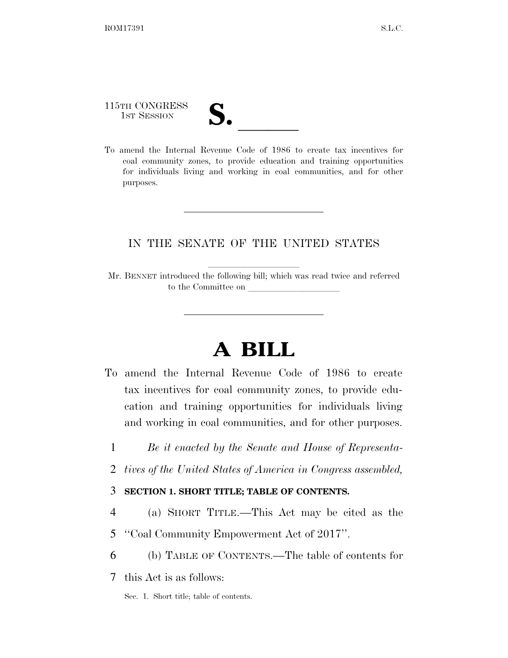115TH CONGRESS

- 
- 115TH CONGRESS<br>
1ST SESSION<br>
To amend the Internal Revenue Code of 1986 to create tax incentives for coal community zones, to provide education and training opportunities for individuals living and working in coal communities, and for other purposes.

## IN THE SENATE OF THE UNITED STATES

Mr. BENNET introduced the following bill; which was read twice and referred to the Committee on

# **A BILL**

- To amend the Internal Revenue Code of 1986 to create tax incentives for coal community zones, to provide education and training opportunities for individuals living and working in coal communities, and for other purposes.
	- 1 *Be it enacted by the Senate and House of Representa-*
	- 2 *tives of the United States of America in Congress assembled,*

### 3 **SECTION 1. SHORT TITLE; TABLE OF CONTENTS.**

- 4 (a) SHORT TITLE.—This Act may be cited as the
- 5 ''Coal Community Empowerment Act of 2017''.
- 6 (b) TABLE OF CONTENTS.—The table of contents for
- 7 this Act is as follows:
	- Sec. 1. Short title; table of contents.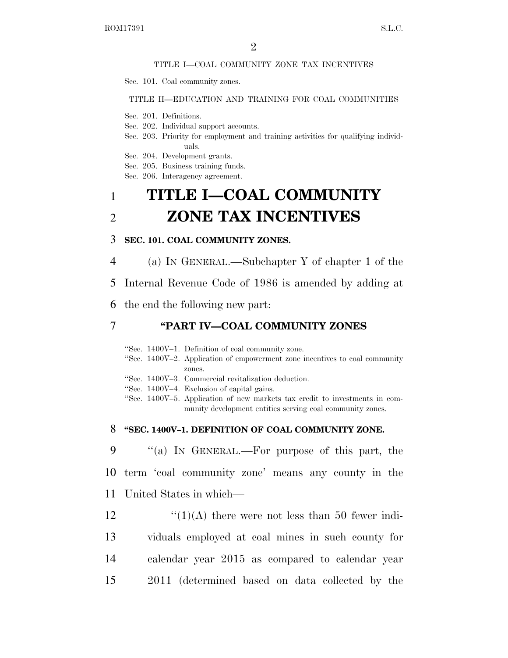#### TITLE I—COAL COMMUNITY ZONE TAX INCENTIVES

Sec. 101. Coal community zones.

#### TITLE II—EDUCATION AND TRAINING FOR COAL COMMUNITIES

- Sec. 201. Definitions.
- Sec. 202. Individual support accounts.
- Sec. 203. Priority for employment and training activities for qualifying individuals.
- Sec. 204. Development grants.
- Sec. 205. Business training funds.
- Sec. 206. Interagency agreement.

## 1 **TITLE I—COAL COMMUNITY**  2 **ZONE TAX INCENTIVES**

#### 3 **SEC. 101. COAL COMMUNITY ZONES.**

4 (a) IN GENERAL.—Subchapter Y of chapter 1 of the

5 Internal Revenue Code of 1986 is amended by adding at

6 the end the following new part:

### 7 **''PART IV—COAL COMMUNITY ZONES**

''Sec. 1400V–1. Definition of coal community zone. ''Sec. 1400V–2. Application of empowerment zone incentives to coal community zones. ''Sec. 1400V–3. Commercial revitalization deduction. ''Sec. 1400V–4. Exclusion of capital gains. ''Sec. 1400V–5. Application of new markets tax credit to investments in community development entities serving coal community zones.

#### 8 **''SEC. 1400V–1. DEFINITION OF COAL COMMUNITY ZONE.**

9 ''(a) IN GENERAL.—For purpose of this part, the 10 term 'coal community zone' means any county in the 11 United States in which—

 $\frac{((1)(A)}{(1)(A)}$  there were not less than 50 fewer indi- viduals employed at coal mines in such county for calendar year 2015 as compared to calendar year 2011 (determined based on data collected by the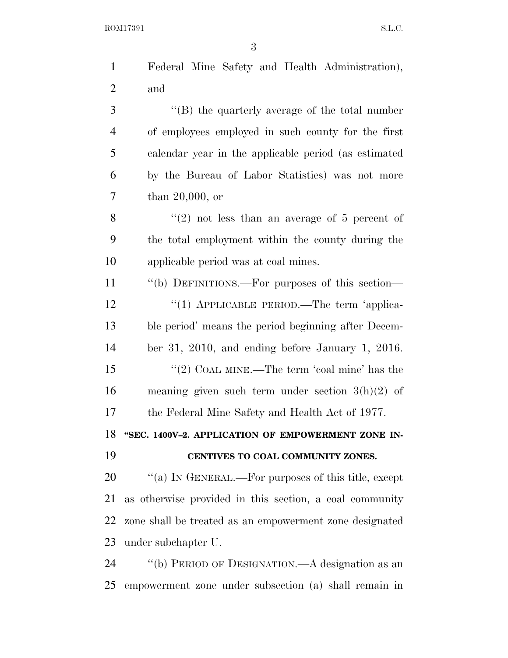ROM17391 S.L.C.

| $\mathbf{1}$   | Federal Mine Safety and Health Administration),         |
|----------------|---------------------------------------------------------|
| $\overline{2}$ | and                                                     |
| 3              | $\lq$ (B) the quarterly average of the total number     |
| $\overline{4}$ | of employees employed in such county for the first      |
| 5              | calendar year in the applicable period (as estimated    |
| 6              | by the Bureau of Labor Statistics) was not more         |
| 7              | than $20,000$ , or                                      |
| 8              | "(2) not less than an average of 5 percent of           |
| 9              | the total employment within the county during the       |
| 10             | applicable period was at coal mines.                    |
| 11             | "(b) DEFINITIONS.—For purposes of this section—         |
| 12             | "(1) APPLICABLE PERIOD.—The term 'applica-              |
| 13             | ble period' means the period beginning after Decem-     |
| 14             | ber 31, 2010, and ending before January 1, 2016.        |
| 15             | "(2) COAL MINE.—The term 'coal mine' has the            |
| 16             | meaning given such term under section $3(h)(2)$ of      |
| 17             | the Federal Mine Safety and Health Act of 1977.         |
| 18             | "SEC. 1400V-2. APPLICATION OF EMPOWERMENT ZONE IN-      |
| 19             | CENTIVES TO COAL COMMUNITY ZONES.                       |
| 20             | "(a) IN GENERAL.—For purposes of this title, except     |
| 21             | as otherwise provided in this section, a coal community |
| 22             | zone shall be treated as an empowerment zone designated |
| 23             | under subchapter U.                                     |
| 24             | "(b) PERIOD OF DESIGNATION.—A designation as an         |
| 25             | empowerment zone under subsection (a) shall remain in   |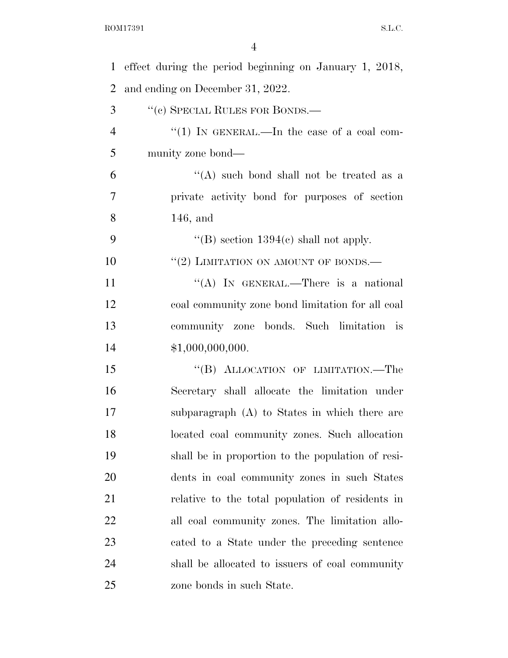| $\mathbf{1}$   | effect during the period beginning on January 1, 2018, |
|----------------|--------------------------------------------------------|
| $\overline{2}$ | and ending on December 31, 2022.                       |
| 3              | "(c) SPECIAL RULES FOR BONDS.—                         |
| $\overline{4}$ | "(1) IN GENERAL.—In the case of a coal com-            |
| 5              | munity zone bond—                                      |
| 6              | "(A) such bond shall not be treated as a               |
| $\overline{7}$ | private activity bond for purposes of section          |
| 8              | $146$ , and                                            |
| 9              | "(B) section $1394(c)$ shall not apply.                |
| 10             | $``(2)$ LIMITATION ON AMOUNT OF BONDS.—                |
| 11             | "(A) IN GENERAL.—There is a national                   |
| 12             | coal community zone bond limitation for all coal       |
| 13             | community zone bonds. Such limitation is               |
| 14             | \$1,000,000,000.                                       |
| 15             | "(B) ALLOCATION OF LIMITATION.—The                     |
| 16             | Secretary shall allocate the limitation under          |
| 17             | subparagraph (A) to States in which there are          |
| 18             | located coal community zones. Such allocation          |
| 19             | shall be in proportion to the population of resi-      |
| <b>20</b>      | dents in coal community zones in such States           |
| 21             | relative to the total population of residents in       |
| 22             | all coal community zones. The limitation allo-         |
| 23             | cated to a State under the preceding sentence          |
| 24             | shall be allocated to issuers of coal community        |
| 25             | zone bonds in such State.                              |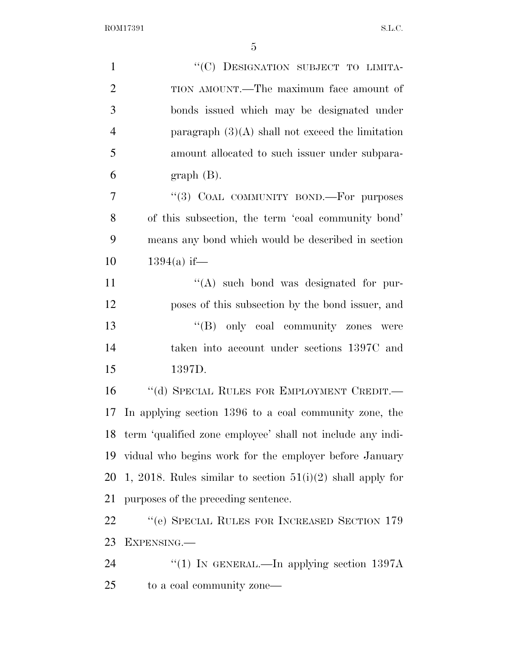ROM17391 S.L.C.

| $\mathbf{1}$   | "(C) DESIGNATION SUBJECT TO LIMITA-                           |
|----------------|---------------------------------------------------------------|
| $\overline{2}$ | TION AMOUNT.—The maximum face amount of                       |
| 3              | bonds issued which may be designated under                    |
| $\overline{4}$ | paragraph $(3)(A)$ shall not exceed the limitation            |
| 5              | amount allocated to such issuer under subpara-                |
| 6              | $graph(B)$ .                                                  |
| $\overline{7}$ | "(3) COAL COMMUNITY BOND.—For purposes                        |
| 8              | of this subsection, the term 'coal community bond'            |
| 9              | means any bond which would be described in section            |
| 10             | $1394(a)$ if—                                                 |
| 11             | $\lq\lq$ such bond was designated for pur-                    |
| 12             | poses of this subsection by the bond issuer, and              |
| 13             | "(B) only coal community zones were                           |
| 14             | taken into account under sections 1397C and                   |
| 15             | 1397D.                                                        |
| 16             | "(d) SPECIAL RULES FOR EMPLOYMENT CREDIT.-                    |
| 17             | In applying section 1396 to a coal community zone, the        |
|                | 18 term 'qualified zone employee' shall not include any indi- |
| 19             | vidual who begins work for the employer before January        |
| 20             | 1, 2018. Rules similar to section $51(i)(2)$ shall apply for  |
| 21             | purposes of the preceding sentence.                           |
| 22             | "(e) SPECIAL RULES FOR INCREASED SECTION 179                  |
| 23             | EXPENSING.—                                                   |
| 24             | "(1) IN GENERAL.—In applying section $1397A$                  |
| 25             | to a coal community zone—                                     |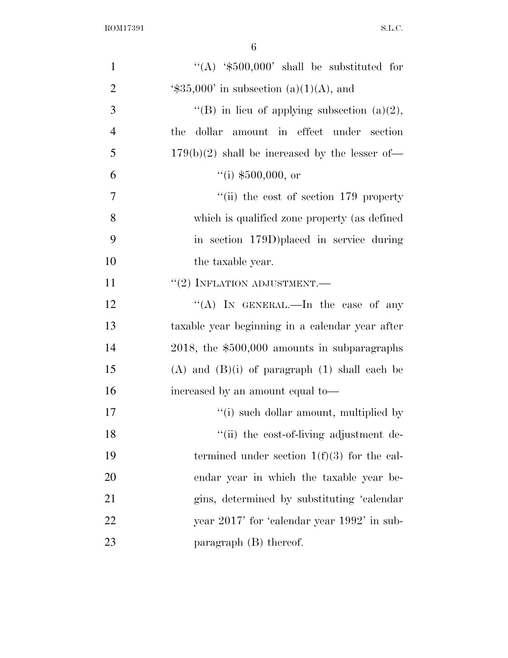| $\mathbf{1}$   | "(A) $\text{\$500,000'}$ shall be substituted for           |
|----------------|-------------------------------------------------------------|
| $\overline{2}$ | $\text{\textdegree{*}}35,000'$ in subsection (a)(1)(A), and |
| 3              | "(B) in lieu of applying subsection $(a)(2)$ ,              |
| $\overline{4}$ | dollar amount in effect under section<br>the                |
| 5              | $179(b)(2)$ shall be increased by the lesser of-            |
| 6              | ``(i) \$500,000, or                                         |
| $\tau$         | "(ii) the cost of section $179$ property                    |
| 8              | which is qualified zone property (as defined                |
| 9              | in section 179D) placed in service during                   |
| 10             | the taxable year.                                           |
| 11             | $``(2)$ INFLATION ADJUSTMENT.—                              |
| 12             | "(A) IN GENERAL.—In the case of any                         |
| 13             | taxable year beginning in a calendar year after             |
| 14             | $2018$ , the \$500,000 amounts in subparagraphs             |
| 15             | $(A)$ and $(B)(i)$ of paragraph $(1)$ shall each be         |
| 16             | increased by an amount equal to-                            |
| 17             | "(i) such dollar amount, multiplied by                      |
| 18             | "(ii) the cost-of-living adjustment de-                     |
| 19             | termined under section $1(f)(3)$ for the cal-               |
| 20             | endar year in which the taxable year be-                    |
| 21             | gins, determined by substituting 'calendar                  |
| 22             | year 2017' for 'calendar year 1992' in sub-                 |
| 23             | paragraph (B) thereof.                                      |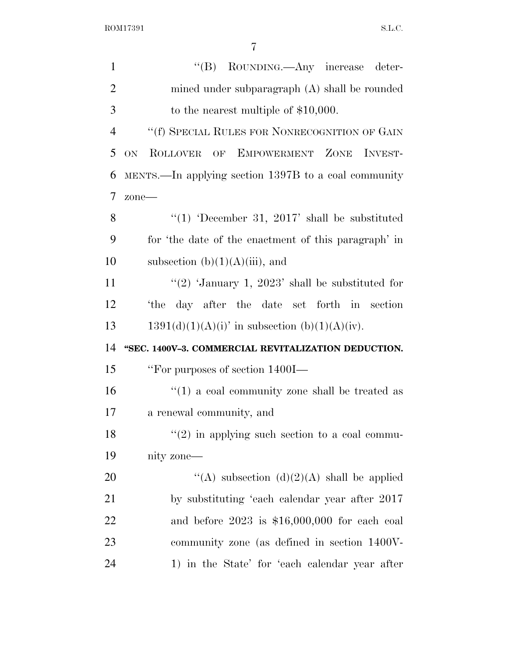$\begin{minipage}{.4\linewidth} \textbf{ROM17391} \hspace{2.5in} \textbf{S.L.C.} \end{minipage}$ 

| $\mathbf{1}$   | "(B) ROUNDING.—Any increase deter-                    |
|----------------|-------------------------------------------------------|
| $\overline{2}$ | mined under subparagraph (A) shall be rounded         |
| 3              | to the nearest multiple of $$10,000$ .                |
| $\overline{4}$ | "(f) SPECIAL RULES FOR NONRECOGNITION OF GAIN         |
| 5              | ON.<br>ROLLOVER OF EMPOWERMENT ZONE INVEST-           |
| 6              | MENTS.—In applying section 1397B to a coal community  |
| 7              | zone-                                                 |
| 8              | "(1) 'December 31, 2017' shall be substituted         |
| 9              | for 'the date of the enactment of this paragraph' in  |
| 10             | subsection $(b)(1)(A)(iii)$ , and                     |
| 11             | "(2) 'January 1, 2023' shall be substituted for       |
| 12             | the day after the date set forth in section           |
| 13             | $1391(d)(1)(A)(i)$ in subsection (b)(1)(A)(iv).       |
| 14             | "SEC. 1400V-3. COMMERCIAL REVITALIZATION DEDUCTION.   |
| 15             | "For purposes of section 1400I—                       |
| 16             | $\cdot$ (1) a coal community zone shall be treated as |
| 17             | a renewal community, and                              |
| 18             | $\lq(2)$ in applying such section to a coal commu-    |
| 19             | nity zone—                                            |
| 20             | "(A) subsection (d)(2)(A) shall be applied            |
| 21             | by substituting 'each calendar year after 2017        |
| 22             | and before $2023$ is \$16,000,000 for each coal       |
| 23             | community zone (as defined in section 1400V-          |
| 24             | 1) in the State' for 'each calendar year after        |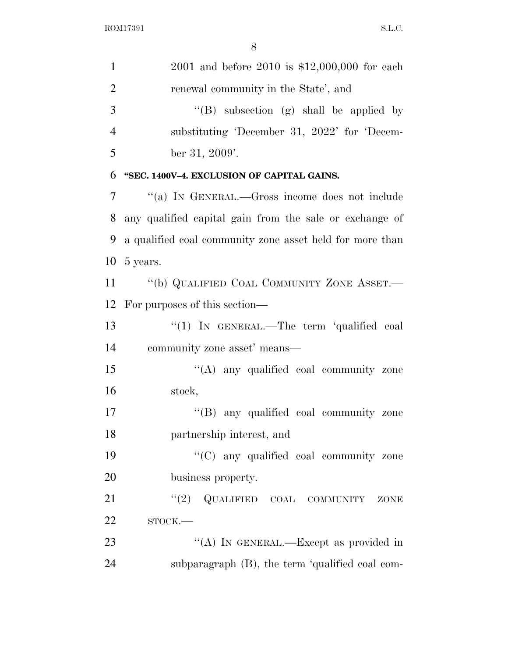| $\mathbf{1}$   | 2001 and before 2010 is $$12,000,000$ for each           |
|----------------|----------------------------------------------------------|
| $\overline{2}$ | renewal community in the State', and                     |
| 3              | "(B) subsection (g) shall be applied by                  |
| 4              | substituting 'December 31, 2022' for 'Decem-             |
| 5              | ber 31, 2009'.                                           |
| 6              | "SEC. 1400V-4. EXCLUSION OF CAPITAL GAINS.               |
| 7              | "(a) IN GENERAL.—Gross income does not include           |
| 8              | any qualified capital gain from the sale or exchange of  |
| 9              | a qualified coal community zone asset held for more than |
| 10             | 5 years.                                                 |
| 11             | "(b) QUALIFIED COAL COMMUNITY ZONE ASSET.-               |
| 12             | For purposes of this section—                            |
| 13             | "(1) IN GENERAL.—The term 'qualified coal                |
| 14             | community zone asset' means—                             |
| 15             | $\lq\lq$ any qualified coal community zone               |
| 16             | stock,                                                   |
| 17             | "(B) any qualified coal community zone                   |
| 18             | partnership interest, and                                |
| 19             | "(C) any qualified coal community zone                   |
| 20             | business property.                                       |
| 21             | "(2) QUALIFIED COAL COMMUNITY<br>ZONE                    |
| 22             | $STOCK$ .                                                |
| 23             | "(A) IN GENERAL.—Except as provided in                   |
| 24             | subparagraph (B), the term 'qualified coal com-          |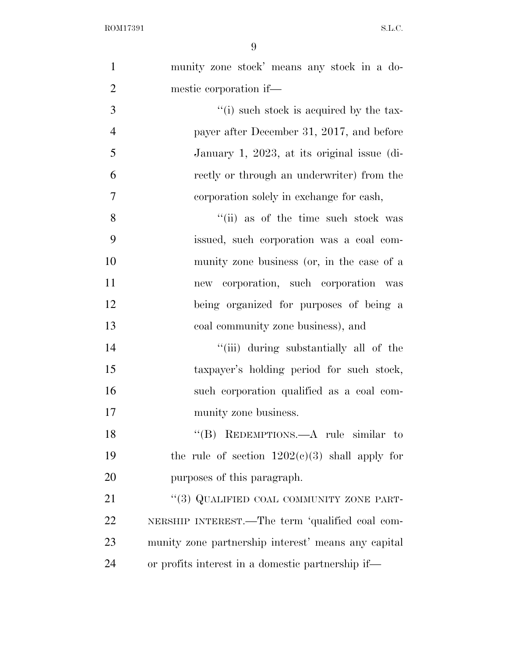| $\mathbf{1}$   | munity zone stock' means any stock in a do-         |
|----------------|-----------------------------------------------------|
| $\overline{2}$ | mestic corporation if—                              |
| 3              | "(i) such stock is acquired by the tax-             |
| $\overline{4}$ | payer after December 31, 2017, and before           |
| 5              | January 1, 2023, at its original issue (di-         |
| 6              | rectly or through an underwriter) from the          |
| 7              | corporation solely in exchange for eash,            |
| 8              | "(ii) as of the time such stock was                 |
| 9              | issued, such corporation was a coal com-            |
| 10             | munity zone business (or, in the case of a          |
| 11             | new corporation, such corporation was               |
| 12             | being organized for purposes of being a             |
| 13             | coal community zone business), and                  |
| 14             | "(iii) during substantially all of the              |
| 15             | taxpayer's holding period for such stock,           |
| 16             | such corporation qualified as a coal com-           |
| 17             | munity zone business.                               |
| 18             | "(B) REDEMPTIONS.—A rule similar to                 |
| 19             | the rule of section $1202(c)(3)$ shall apply for    |
| 20             | purposes of this paragraph.                         |
| 21             | "(3) QUALIFIED COAL COMMUNITY ZONE PART-            |
| 22             | NERSHIP INTEREST.—The term 'qualified coal com-     |
| 23             | munity zone partnership interest' means any capital |
| 24             | or profits interest in a domestic partnership if—   |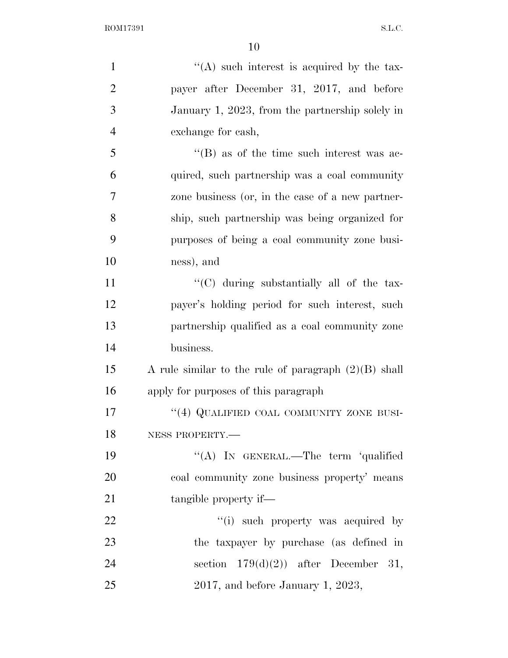| $\mathbf{1}$   | $\lq\lq$ such interest is acquired by the tax-         |
|----------------|--------------------------------------------------------|
| $\overline{2}$ | payer after December 31, 2017, and before              |
| 3              | January 1, 2023, from the partnership solely in        |
| $\overline{4}$ | exchange for cash,                                     |
| 5              | $\lq\lq$ as of the time such interest was ac-          |
| 6              | quired, such partnership was a coal community          |
| 7              | zone business (or, in the case of a new partner-       |
| 8              | ship, such partnership was being organized for         |
| 9              | purposes of being a coal community zone busi-          |
| 10             | ness), and                                             |
| 11             | "(C) during substantially all of the tax-              |
| 12             | payer's holding period for such interest, such         |
| 13             | partnership qualified as a coal community zone         |
| 14             | business.                                              |
| 15             | A rule similar to the rule of paragraph $(2)(B)$ shall |
| 16             | apply for purposes of this paragraph                   |
| 17             | "(4) QUALIFIED COAL COMMUNITY ZONE BUSI-               |
| 18             | NESS PROPERTY.-                                        |
| 19             | "(A) IN GENERAL.—The term 'qualified                   |
| 20             | coal community zone business property' means           |
| 21             | tangible property if—                                  |
| 22             | "(i) such property was acquired by                     |
| 23             | the taxpayer by purchase (as defined in                |
| 24             | section $179(d)(2)$ after December 31,                 |
| 25             | $2017$ , and before January 1, $2023$ ,                |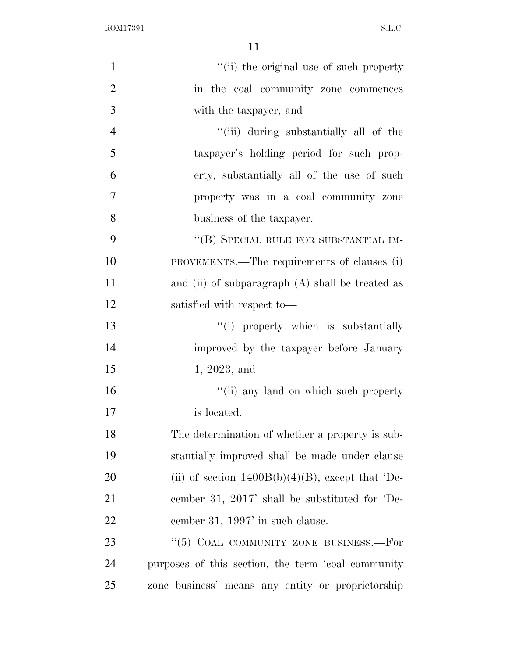ROM17391 S.L.C.

| $\mathbf{1}$   | "(ii) the original use of such property             |
|----------------|-----------------------------------------------------|
| $\overline{2}$ | in the coal community zone commences                |
| 3              | with the taxpayer, and                              |
| $\overline{4}$ | "(iii) during substantially all of the              |
| 5              | taxpayer's holding period for such prop-            |
| 6              | erty, substantially all of the use of such          |
| $\tau$         | property was in a coal community zone               |
| 8              | business of the taxpayer.                           |
| 9              | "(B) SPECIAL RULE FOR SUBSTANTIAL IM-               |
| 10             | PROVEMENTS.—The requirements of clauses (i)         |
| 11             | and (ii) of subparagraph $(A)$ shall be treated as  |
| 12             | satisfied with respect to-                          |
| 13             | "(i) property which is substantially                |
| 14             | improved by the taxpayer before January             |
| 15             | 1, 2023, and                                        |
| 16             | "(ii) any land on which such property               |
| 17             | is located.                                         |
| 18             | The determination of whether a property is sub-     |
| 19             | stantially improved shall be made under clause      |
| 20             | (ii) of section $1400B(b)(4)(B)$ , except that 'De- |
| 21             | cember 31, 2017' shall be substituted for 'De-      |
| 22             | cember 31, 1997' in such clause.                    |
| 23             | "(5) COAL COMMUNITY ZONE BUSINESS.—For              |
| 24             | purposes of this section, the term 'coal community  |
| 25             | zone business' means any entity or proprietorship   |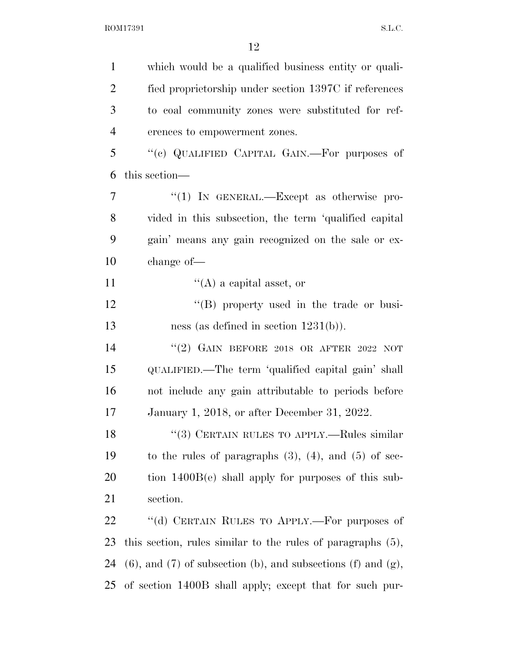$\begin{minipage}{.4\linewidth} \textbf{ROM17391} \end{minipage}$ 

| $\mathbf{1}$   | which would be a qualified business entity or quali-                      |
|----------------|---------------------------------------------------------------------------|
| $\overline{2}$ | fied proprietorship under section 1397C if references                     |
| 3              | to coal community zones were substituted for ref-                         |
| $\overline{4}$ | erences to empowerment zones.                                             |
| 5              | "(c) QUALIFIED CAPITAL GAIN.—For purposes of                              |
| 6              | this section—                                                             |
| 7              | "(1) IN GENERAL.—Except as otherwise pro-                                 |
| 8              | vided in this subsection, the term 'qualified capital                     |
| 9              | gain' means any gain recognized on the sale or ex-                        |
| 10             | change of-                                                                |
| 11             | $\lq\lq$ (A) a capital asset, or                                          |
| 12             | "(B) property used in the trade or busi-                                  |
| 13             | ness (as defined in section $1231(b)$ ).                                  |
| 14             | "(2) GAIN BEFORE 2018 OR AFTER 2022 NOT                                   |
| 15             | QUALIFIED.—The term 'qualified capital gain' shall                        |
| 16             | not include any gain attributable to periods before                       |
| 17             | January 1, 2018, or after December 31, 2022.                              |
| 18             | "(3) CERTAIN RULES TO APPLY.—Rules similar                                |
| 19             | to the rules of paragraphs $(3)$ , $(4)$ , and $(5)$ of sec-              |
| 20             | tion $1400B(e)$ shall apply for purposes of this sub-                     |
| 21             | section.                                                                  |
| 22             | "(d) CERTAIN RULES TO APPLY.—For purposes of                              |
| 23             | this section, rules similar to the rules of paragraphs $(5)$ ,            |
| 24             | $(6)$ , and $(7)$ of subsection $(b)$ , and subsections $(f)$ and $(g)$ , |
| 25             | of section 1400B shall apply; except that for such pur-                   |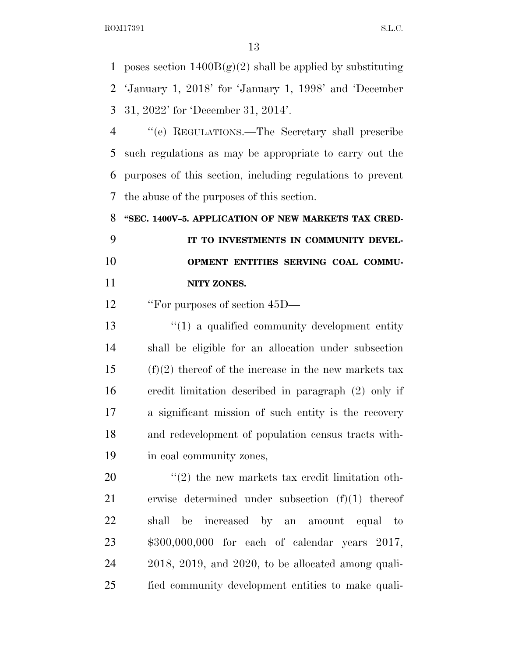1 poses section  $1400B(g)(2)$  shall be applied by substituting 'January 1, 2018' for 'January 1, 1998' and 'December 31, 2022' for 'December 31, 2014'.

 ''(e) REGULATIONS.—The Secretary shall prescribe such regulations as may be appropriate to carry out the purposes of this section, including regulations to prevent the abuse of the purposes of this section.

 **''SEC. 1400V–5. APPLICATION OF NEW MARKETS TAX CRED- IT TO INVESTMENTS IN COMMUNITY DEVEL- OPMENT ENTITIES SERVING COAL COMMU-NITY ZONES.** 

12 "For purposes of section  $45D-$ 

13 ''(1) a qualified community development entity shall be eligible for an allocation under subsection (f)(2) thereof of the increase in the new markets tax credit limitation described in paragraph (2) only if a significant mission of such entity is the recovery and redevelopment of population census tracts with-in coal community zones,

 ''(2) the new markets tax credit limitation oth- erwise determined under subsection (f)(1) thereof shall be increased by an amount equal to \$300,000,000 for each of calendar years 2017, 2018, 2019, and 2020, to be allocated among quali-fied community development entities to make quali-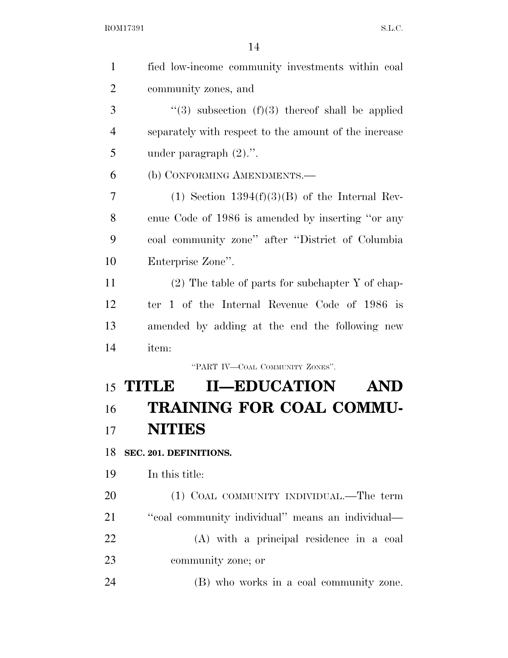| $\mathbf{1}$   | fied low-income community investments within coal     |
|----------------|-------------------------------------------------------|
| $\overline{2}$ | community zones, and                                  |
| 3              | "(3) subsection $(f)(3)$ thereof shall be applied     |
| $\overline{4}$ | separately with respect to the amount of the increase |
| 5              | under paragraph $(2)$ .".                             |
| 6              | (b) CONFORMING AMENDMENTS.—                           |
| 7              | (1) Section $1394(f)(3)(B)$ of the Internal Rev-      |
| 8              | enue Code of 1986 is amended by inserting "or any     |
| 9              | coal community zone" after "District of Columbia      |
| 10             | Enterprise Zone".                                     |
| 11             | $(2)$ The table of parts for subchapter Y of chap-    |
| 12             | ter 1 of the Internal Revenue Code of 1986 is         |
| 13             | amended by adding at the end the following new        |
| 14             | item:                                                 |
|                | "PART IV-COAL COMMUNITY ZONES".                       |
|                | <b>II-EDUCATION</b><br>15 TITLE<br><b>AND</b>         |
| 16             | TRAINING FOR COAL COMMU-                              |
| 17             | <b>NITIES</b>                                         |
| 18             | SEC. 201. DEFINITIONS.                                |
| 19             | In this title:                                        |
| 20             | (1) COAL COMMUNITY INDIVIDUAL.—The term               |
| 21             | "coal community individual" means an individual—      |
| 22             | (A) with a principal residence in a coal              |
| 23             | community zone; or                                    |
| 24             | (B) who works in a coal community zone.               |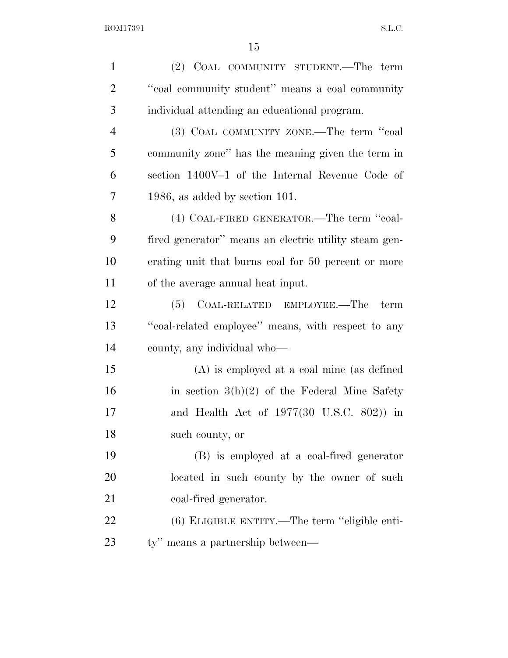| $\mathbf{1}$   | (2) COAL COMMUNITY STUDENT.—The term                  |
|----------------|-------------------------------------------------------|
| $\overline{2}$ | "coal community student" means a coal community       |
| 3              | individual attending an educational program.          |
| $\overline{4}$ | (3) COAL COMMUNITY ZONE.—The term "coal               |
| 5              | community zone" has the meaning given the term in     |
| 6              | section 1400V-1 of the Internal Revenue Code of       |
| 7              | $1986$ , as added by section 101.                     |
| 8              | (4) COAL-FIRED GENERATOR.—The term "coal-             |
| 9              | fired generator" means an electric utility steam gen- |
| 10             | erating unit that burns coal for 50 percent or more   |
| 11             | of the average annual heat input.                     |
| 12             | COAL-RELATED EMPLOYEE.—The<br>(5)<br>term             |
| 13             | "coal-related employee" means, with respect to any    |
| 14             | county, any individual who—                           |
| 15             | $(A)$ is employed at a coal mine (as defined          |
| 16             | in section $3(h)(2)$ of the Federal Mine Safety       |
| 17             | and Health Act of $1977(30 \text{ U.S.C. } 802)$ in   |
| 18             | such county, or                                       |
| 19             | (B) is employed at a coal-fired generator             |
| 20             | located in such county by the owner of such           |
| 21             | coal-fired generator.                                 |
| 22             | (6) ELIGIBLE ENTITY.—The term "eligible enti-         |
| 23             | ty" means a partnership between—                      |
|                |                                                       |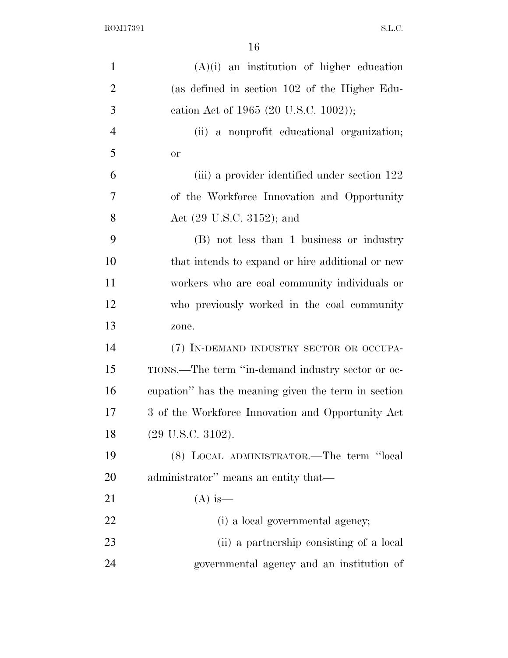| $\mathbf{1}$   | $(A)(i)$ an institution of higher education         |
|----------------|-----------------------------------------------------|
| $\overline{2}$ | (as defined in section 102 of the Higher Edu-       |
| 3              | cation Act of 1965 (20 U.S.C. 1002));               |
| $\overline{4}$ | (ii) a nonprofit educational organization;          |
| 5              | <b>or</b>                                           |
| 6              | (iii) a provider identified under section 122       |
| 7              | of the Workforce Innovation and Opportunity         |
| 8              | Act $(29 \text{ U.S.C. } 3152)$ ; and               |
| 9              | (B) not less than 1 business or industry            |
| 10             | that intends to expand or hire additional or new    |
| 11             | workers who are coal community individuals or       |
| 12             | who previously worked in the coal community         |
| 13             | zone.                                               |
| 14             | (7) IN-DEMAND INDUSTRY SECTOR OR OCCUPA-            |
| 15             | TIONS.—The term "in-demand industry sector or oc-   |
| 16             | cupation" has the meaning given the term in section |
| 17             | 3 of the Workforce Innovation and Opportunity Act   |
| 18             | (29 U.S.C. 3102).                                   |
| 19             | (8) LOCAL ADMINISTRATOR.—The term "local            |
| 20             | administrator" means an entity that-                |
| 21             | $(A)$ is —                                          |
| 22             | (i) a local governmental agency;                    |
| 23             | (ii) a partnership consisting of a local            |
| 24             | governmental agency and an institution of           |
|                |                                                     |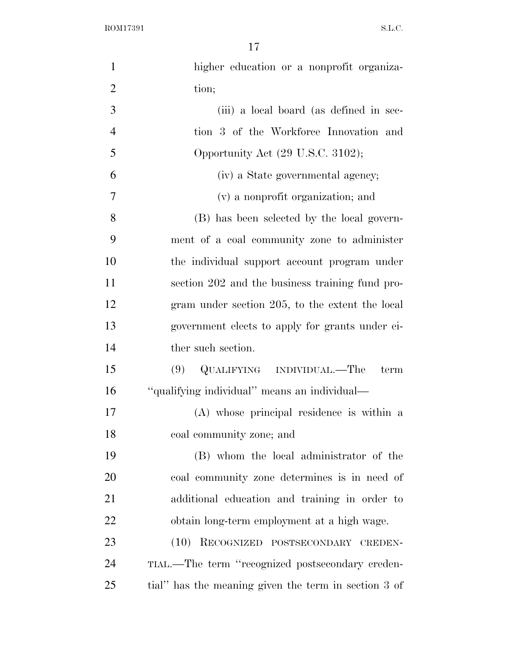$\begin{minipage}{.4\linewidth} \textbf{ROM17391} \end{minipage}$ 

| $\mathbf{1}$   | higher education or a nonprofit organiza-            |
|----------------|------------------------------------------------------|
| $\overline{2}$ | tion;                                                |
| 3              | (iii) a local board (as defined in sec-              |
| $\overline{4}$ | tion 3 of the Workforce Innovation and               |
| 5              | Opportunity Act (29 U.S.C. 3102);                    |
| 6              | (iv) a State governmental agency;                    |
| $\overline{7}$ | (v) a nonprofit organization; and                    |
| 8              | (B) has been selected by the local govern-           |
| 9              | ment of a coal community zone to administer          |
| 10             | the individual support account program under         |
| 11             | section 202 and the business training fund pro-      |
| 12             | gram under section 205, to the extent the local      |
| 13             | government elects to apply for grants under ei-      |
| 14             | ther such section.                                   |
| 15             | QUALIFYING INDIVIDUAL.—The<br>(9)<br>term            |
| 16             | "qualifying individual" means an individual-         |
| 17             | (A) whose principal residence is within a            |
| 18             | coal community zone; and                             |
| 19             | (B) whom the local administrator of the              |
| 20             | coal community zone determines is in need of         |
| 21             | additional education and training in order to        |
| 22             | obtain long-term employment at a high wage.          |
| 23             | (10)<br>RECOGNIZED POSTSECONDARY CREDEN-             |
| 24             | TIAL.—The term "recognized postsecondary creden-     |
| 25             | tial" has the meaning given the term in section 3 of |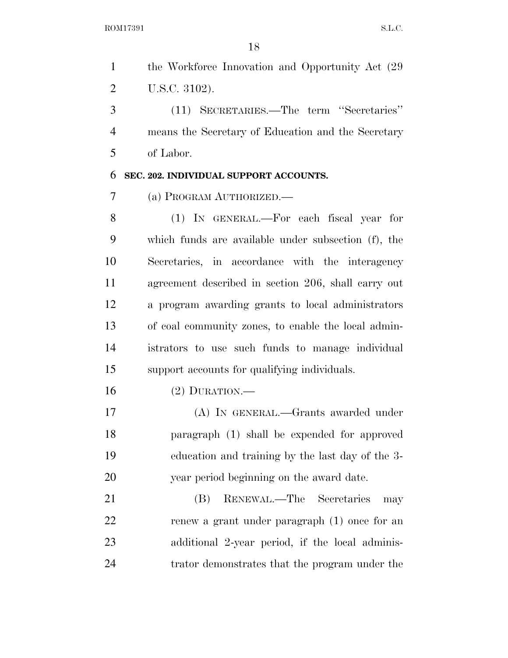| 1              | the Workforce Innovation and Opportunity Act (29)   |
|----------------|-----------------------------------------------------|
| $\overline{2}$ | U.S.C. 3102).                                       |
| 3              | (11) SECRETARIES.—The term "Secretaries"            |
| $\overline{4}$ | means the Secretary of Education and the Secretary  |
| 5              | of Labor.                                           |
| 6              | SEC. 202. INDIVIDUAL SUPPORT ACCOUNTS.              |
| 7              | (a) PROGRAM AUTHORIZED.                             |
| 8              | (1) IN GENERAL.—For each fiscal year for            |
| 9              | which funds are available under subsection (f), the |
| 10             | Secretaries, in accordance with the interagency     |
| 11             | agreement described in section 206, shall carry out |
| 12             | a program awarding grants to local administrators   |
| 13             | of coal community zones, to enable the local admin- |
| 14             | istrators to use such funds to manage individual    |
| 15             | support accounts for qualifying individuals.        |
| 16             | $(2)$ DURATION.—                                    |
| 17             | (A) IN GENERAL.—Grants awarded under                |
| 18             | paragraph (1) shall be expended for approved        |
| 19             | education and training by the last day of the 3-    |
| 20             | year period beginning on the award date.            |
| 21             | RENEWAL.—The Secretaries<br>(B)<br>may              |
| 22             | renew a grant under paragraph (1) once for an       |
| 23             | additional 2-year period, if the local adminis-     |
| 24             | trator demonstrates that the program under the      |
|                |                                                     |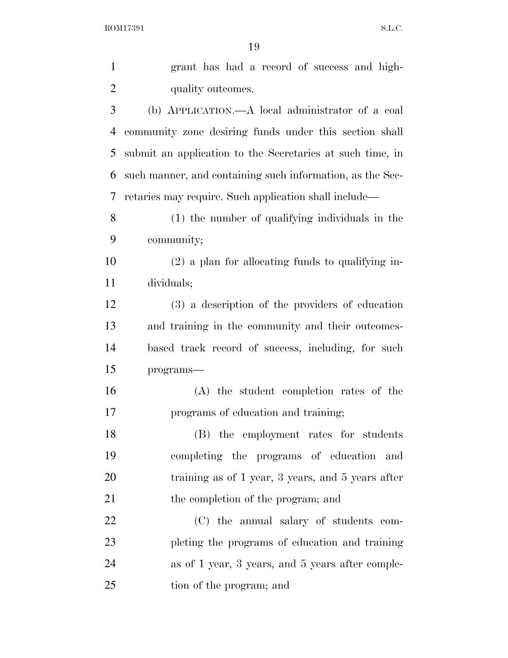$\begin{minipage}{.4\linewidth} \textbf{ROM17391} \end{minipage}$ 

| $\mathbf{1}$   | grant has had a record of success and high-               |
|----------------|-----------------------------------------------------------|
| $\overline{2}$ | quality outcomes.                                         |
| 3              | (b) APPLICATION.—A local administrator of a coal          |
| 4              | community zone desiring funds under this section shall    |
| 5              | submit an application to the Secretaries at such time, in |
| 6              | such manner, and containing such information, as the Sec- |
| 7              | retaries may require. Such application shall include—     |
| 8              | (1) the number of qualifying individuals in the           |
| 9              | community;                                                |
| 10             | $(2)$ a plan for allocating funds to qualifying in-       |
| 11             | dividuals;                                                |
| 12             | (3) a description of the providers of education           |
| 13             | and training in the community and their outcomes-         |
| 14             | based track record of success, including, for such        |
| 15             | programs-                                                 |
| 16             | (A) the student completion rates of the                   |
| 17             | programs of education and training;                       |
| 18             | (B) the employment rates for students                     |
| 19             | completing the programs of education<br>and               |
| 20             | training as of 1 year, 3 years, and 5 years after         |
| 21             | the completion of the program; and                        |
| 22             | (C) the annual salary of students com-                    |
| 23             | pleting the programs of education and training            |
| 24             | as of 1 year, 3 years, and 5 years after comple-          |
| 25             | tion of the program; and                                  |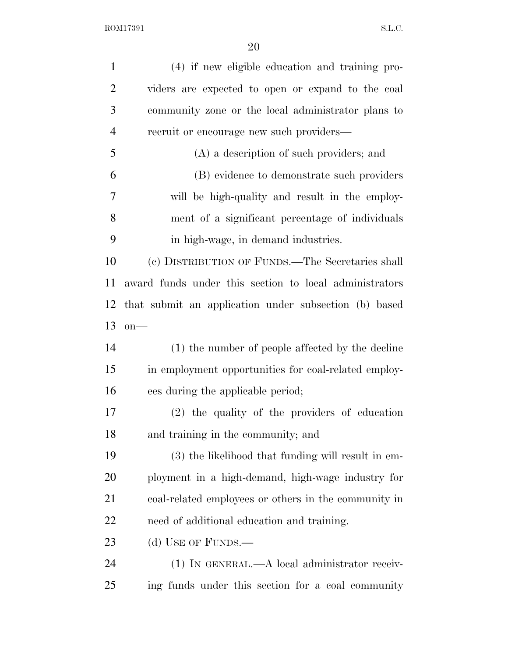$\begin{minipage}{.4\linewidth} \textbf{ROM17391} \end{minipage}$ 

| $\mathbf{1}$   | (4) if new eligible education and training pro-        |
|----------------|--------------------------------------------------------|
| $\overline{2}$ | viders are expected to open or expand to the coal      |
| 3              | community zone or the local administrator plans to     |
| $\overline{4}$ | recruit or encourage new such providers—               |
| 5              | (A) a description of such providers; and               |
| 6              | (B) evidence to demonstrate such providers             |
| 7              | will be high-quality and result in the employ-         |
| 8              | ment of a significant percentage of individuals        |
| 9              | in high-wage, in demand industries.                    |
| 10             | (c) DISTRIBUTION OF FUNDS.—The Secretaries shall       |
| 11             | award funds under this section to local administrators |
| 12             | that submit an application under subsection (b) based  |
| 13             | $on$ —                                                 |
| 14             | (1) the number of people affected by the decline       |
| 15             | in employment opportunities for coal-related employ-   |
| 16             | ees during the applicable period;                      |
| 17             | (2) the quality of the providers of education          |
| 18             | and training in the community; and                     |
| 19             | (3) the likelihood that funding will result in em-     |
| 20             | ployment in a high-demand, high-wage industry for      |
| 21             | coal-related employees or others in the community in   |
| <u>22</u>      | need of additional education and training.             |
| 23             | (d) USE OF FUNDS.—                                     |
| 24             | $(1)$ IN GENERAL.—A local administrator receiv-        |
| 25             | ing funds under this section for a coal community      |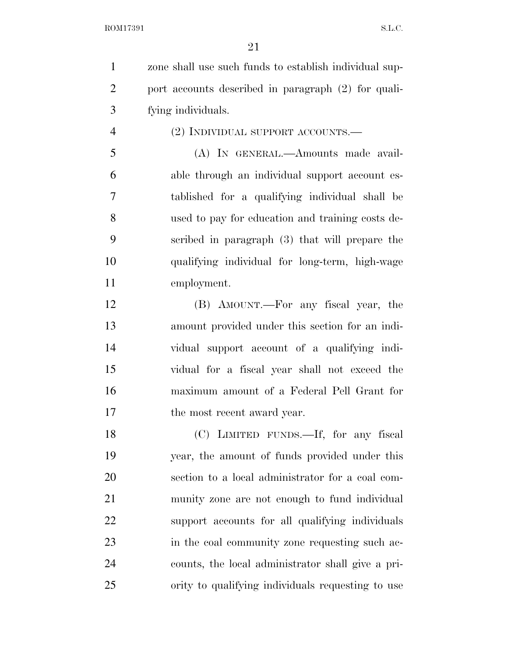ROM17391 S.L.C.

 zone shall use such funds to establish individual sup- port accounts described in paragraph (2) for quali-fying individuals.

(2) INDIVIDUAL SUPPORT ACCOUNTS.—

 (A) IN GENERAL.—Amounts made avail- able through an individual support account es- tablished for a qualifying individual shall be used to pay for education and training costs de- scribed in paragraph (3) that will prepare the qualifying individual for long-term, high-wage employment.

 (B) AMOUNT.—For any fiscal year, the amount provided under this section for an indi- vidual support account of a qualifying indi- vidual for a fiscal year shall not exceed the maximum amount of a Federal Pell Grant for 17 the most recent award year.

 (C) LIMITED FUNDS.—If, for any fiscal year, the amount of funds provided under this section to a local administrator for a coal com- munity zone are not enough to fund individual support accounts for all qualifying individuals in the coal community zone requesting such ac- counts, the local administrator shall give a pri-ority to qualifying individuals requesting to use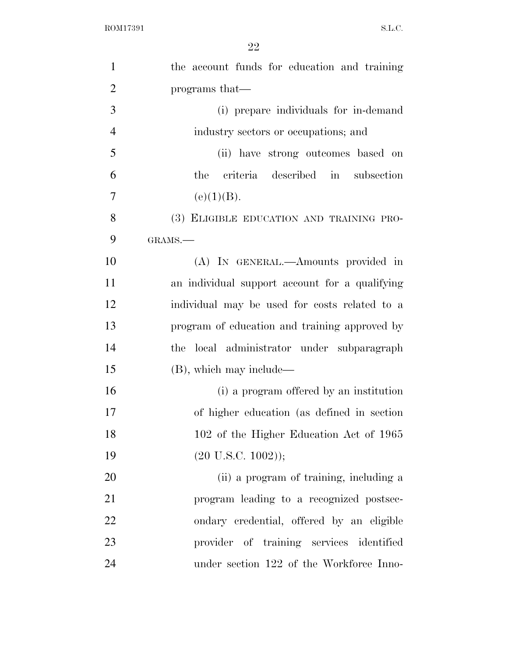| $\mathbf{1}$   | the account funds for education and training   |
|----------------|------------------------------------------------|
| $\overline{2}$ | programs that—                                 |
| 3              | (i) prepare individuals for in-demand          |
| $\overline{4}$ | industry sectors or occupations; and           |
| 5              | (ii) have strong outcomes based on             |
| 6              | the criteria described in subsection           |
| $\overline{7}$ | (e)(1)(B).                                     |
| 8              | (3) ELIGIBLE EDUCATION AND TRAINING PRO-       |
| 9              | GRAMS.-                                        |
| 10             | (A) IN GENERAL.—Amounts provided in            |
| 11             | an individual support account for a qualifying |
| 12             | individual may be used for costs related to a  |
| 13             | program of education and training approved by  |
| 14             | local administrator under subparagraph<br>the  |
| 15             | $(B)$ , which may include—                     |
| 16             | (i) a program offered by an institution        |
| 17             | of higher education (as defined in section)    |
| 18             | 102 of the Higher Education Act of 1965        |
| 19             | $(20 \text{ U.S.C. } 1002));$                  |
| 20             | (ii) a program of training, including a        |
| 21             | program leading to a recognized postsec-       |
| 22             | ondary credential, offered by an eligible      |
| 23             | provider of training services identified       |
| 24             | under section 122 of the Workforce Inno-       |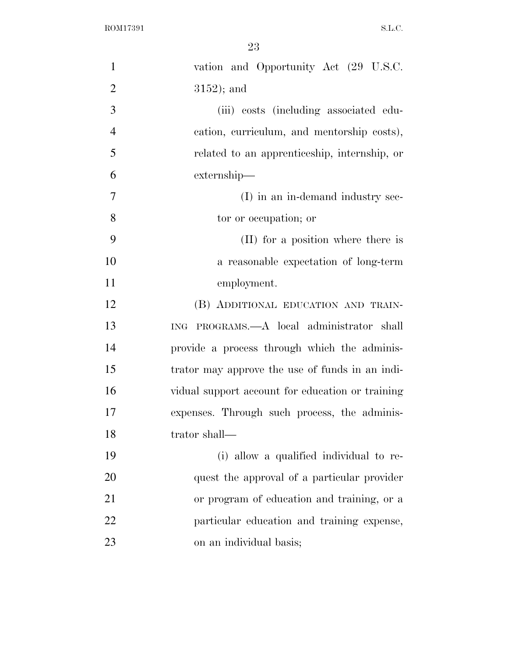$\begin{minipage}{.4\linewidth} \textbf{ROM17391} \end{minipage}$ 

| $\mathbf{1}$   | vation and Opportunity Act (29 U.S.C.            |
|----------------|--------------------------------------------------|
| $\overline{2}$ | $3152$ ); and                                    |
| 3              | (iii) costs (including associated edu-           |
| $\overline{4}$ | cation, curriculum, and mentorship costs),       |
| 5              | related to an apprenticeship, internship, or     |
| 6              | externship—                                      |
| 7              | (I) in an in-demand industry sec-                |
| 8              | tor or occupation; or                            |
| 9              | (II) for a position where there is               |
| 10             | a reasonable expectation of long-term            |
| 11             | employment.                                      |
| 12             | (B) ADDITIONAL EDUCATION AND TRAIN-              |
| 13             | ING PROGRAMS.—A local administrator shall        |
| 14             | provide a process through which the adminis-     |
| 15             | trator may approve the use of funds in an indi-  |
| 16             | vidual support account for education or training |
| 17             | expenses. Through such process, the adminis-     |
| 18             | trator shall-                                    |
| 19             | (i) allow a qualified individual to re-          |
| 20             | quest the approval of a particular provider      |
| 21             | or program of education and training, or a       |
| 22             | particular education and training expense,       |
| 23             | on an individual basis;                          |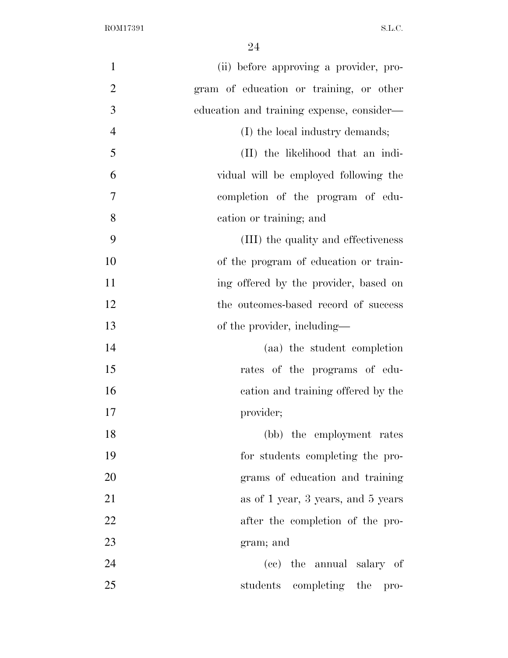| $\mathbf{1}$   | (ii) before approving a provider, pro-    |
|----------------|-------------------------------------------|
| $\overline{2}$ | gram of education or training, or other   |
| 3              | education and training expense, consider— |
| $\overline{4}$ | (I) the local industry demands;           |
| 5              | (II) the likelihood that an indi-         |
| 6              | vidual will be employed following the     |
| 7              | completion of the program of edu-         |
| 8              | cation or training; and                   |
| 9              | (III) the quality and effectiveness       |
| 10             | of the program of education or train-     |
| 11             | ing offered by the provider, based on     |
| 12             | the outcomes-based record of success      |
| 13             | of the provider, including—               |
| 14             | (aa) the student completion               |
| 15             | rates of the programs of edu-             |
| 16             | cation and training offered by the        |
| 17             | provider;                                 |
| 18             | (bb) the employment rates                 |
| 19             | for students completing the pro-          |
| 20             | grams of education and training           |
| 21             | as of 1 year, 3 years, and 5 years        |
| 22             | after the completion of the pro-          |
| 23             | gram; and                                 |
| 24             | (cc) the annual salary of                 |
| 25             | students completing the<br>$\rm pro-$     |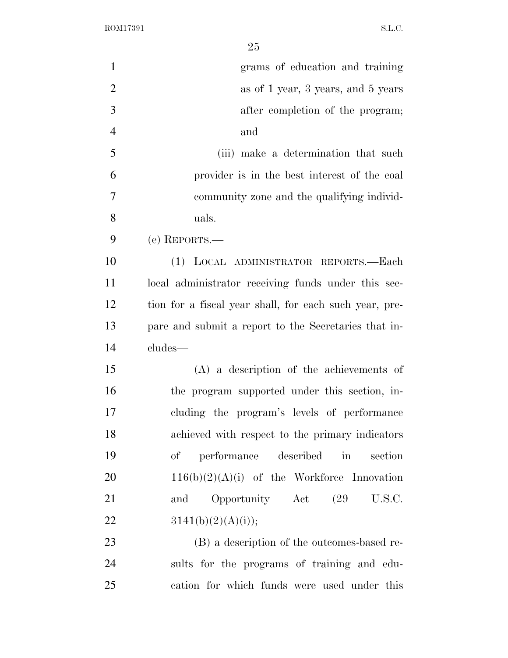$\begin{minipage}{.4\linewidth} \textbf{ROM17391} \end{minipage}$ 

| $\mathbf{1}$   | grams of education and training                            |
|----------------|------------------------------------------------------------|
| $\mathbf{2}$   | as of 1 year, 3 years, and 5 years                         |
| 3              | after completion of the program;                           |
| $\overline{4}$ | and                                                        |
| 5              | (iii) make a determination that such                       |
| 6              | provider is in the best interest of the coal               |
| $\overline{7}$ | community zone and the qualifying individ-                 |
| 8              | uals.                                                      |
| 9              | (e) REPORTS.—                                              |
| 10             | (1) LOCAL ADMINISTRATOR REPORTS.-Each                      |
| 11             | local administrator receiving funds under this sec-        |
| 12             | tion for a fiscal year shall, for each such year, pre-     |
| 13             | pare and submit a report to the Secretaries that in-       |
| 14             | cludes—                                                    |
| 15             | $(A)$ a description of the achievements of                 |
| 16             | the program supported under this section, in-              |
| 17             | cluding the program's levels of performance                |
| 18             | achieved with respect to the primary indicators            |
| 19             | of performance described<br>$\operatorname{in}$<br>section |
| 20             | $116(b)(2)(A)(i)$ of the Workforce Innovation              |
| 21             | Opportunity Act (29 U.S.C.<br>and                          |
| 22             | 3141(b)(2)(A)(i));                                         |
| 23             | (B) a description of the outcomes-based re-                |
| 24             | sults for the programs of training and edu-                |
| 25             | cation for which funds were used under this                |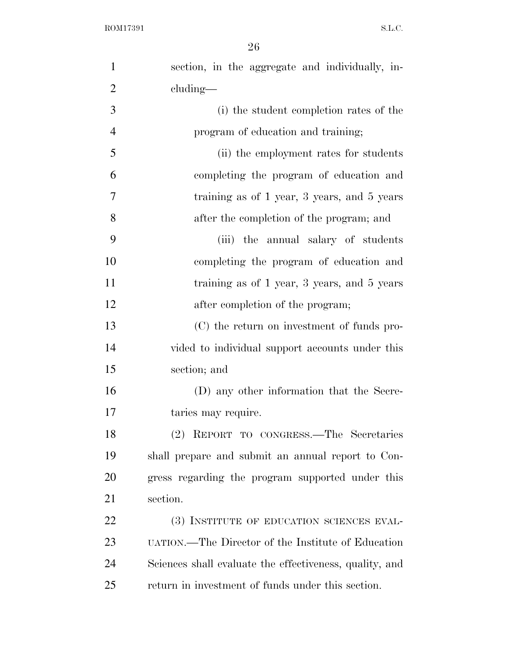| $\mathbf{1}$   | section, in the aggregate and individually, in-         |
|----------------|---------------------------------------------------------|
| $\overline{2}$ | cluding—                                                |
| 3              | (i) the student completion rates of the                 |
| $\overline{4}$ | program of education and training;                      |
| 5              | (ii) the employment rates for students                  |
| 6              | completing the program of education and                 |
| 7              | training as of 1 year, 3 years, and 5 years             |
| 8              | after the completion of the program; and                |
| 9              | (iii) the annual salary of students                     |
| 10             | completing the program of education and                 |
| 11             | training as of 1 year, 3 years, and 5 years             |
| 12             | after completion of the program;                        |
| 13             | (C) the return on investment of funds pro-              |
| 14             | vided to individual support accounts under this         |
| 15             | section; and                                            |
| 16             | (D) any other information that the Secre-               |
| 17             | taries may require.                                     |
| 18             | (2) REPORT TO CONGRESS.—The Secretaries                 |
| 19             | shall prepare and submit an annual report to Con-       |
| 20             | gress regarding the program supported under this        |
| 21             | section.                                                |
| 22             | (3) INSTITUTE OF EDUCATION SCIENCES EVAL-               |
| 23             | UATION.—The Director of the Institute of Education      |
| 24             | Sciences shall evaluate the effectiveness, quality, and |
| 25             | return in investment of funds under this section.       |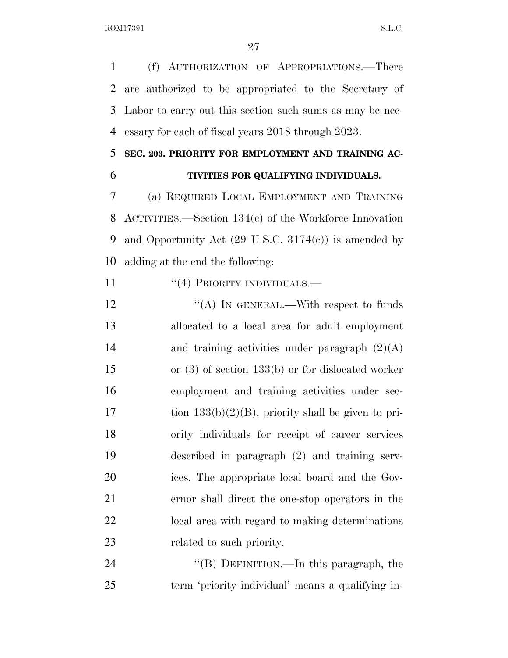(f) AUTHORIZATION OF APPROPRIATIONS.—There are authorized to be appropriated to the Secretary of Labor to carry out this section such sums as may be nec-essary for each of fiscal years 2018 through 2023.

## **SEC. 203. PRIORITY FOR EMPLOYMENT AND TRAINING AC-**

### **TIVITIES FOR QUALIFYING INDIVIDUALS.**

 (a) REQUIRED LOCAL EMPLOYMENT AND TRAINING ACTIVITIES.—Section 134(c) of the Workforce Innovation 9 and Opportunity Act  $(29 \text{ U.S.C. } 3174(c))$  is amended by adding at the end the following:

11 "(4) PRIORITY INDIVIDUALS.—

 $\text{``(A)}$  In GENERAL.—With respect to funds allocated to a local area for adult employment 14 and training activities under paragraph  $(2)(A)$  or (3) of section 133(b) or for dislocated worker employment and training activities under sec-17 tion  $133(b)(2)(B)$ , priority shall be given to pri- ority individuals for receipt of career services described in paragraph (2) and training serv- ices. The appropriate local board and the Gov- ernor shall direct the one-stop operators in the local area with regard to making determinations related to such priority.

24 "(B) DEFINITION.—In this paragraph, the term 'priority individual' means a qualifying in-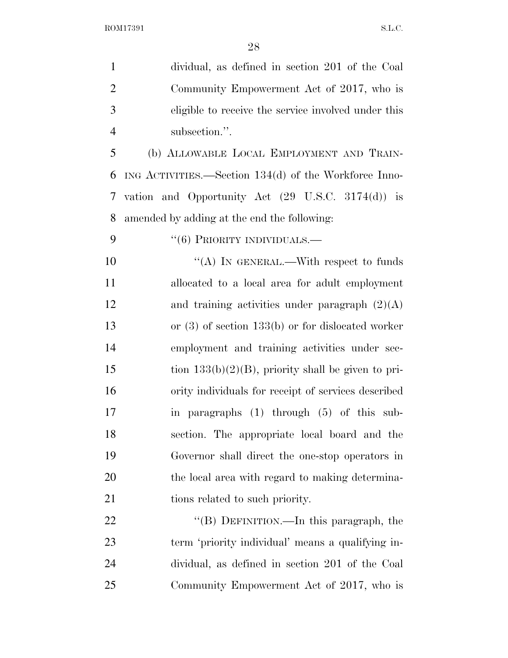| $\mathbf{1}$   | dividual, as defined in section 201 of the Coal              |
|----------------|--------------------------------------------------------------|
| $\overline{2}$ | Community Empowerment Act of 2017, who is                    |
| 3              | eligible to receive the service involved under this          |
| $\overline{4}$ | subsection.".                                                |
| 5              | (b) ALLOWABLE LOCAL EMPLOYMENT AND TRAIN-                    |
| 6              | ING ACTIVITIES.—Section $134(d)$ of the Workforce Inno-      |
| 7              | vation and Opportunity Act $(29 \text{ U.S.C. } 3174(d))$ is |
| 8              | amended by adding at the end the following:                  |
| 9              | $``(6)$ PRIORITY INDIVIDUALS.—                               |
| 10             | "(A) IN GENERAL.—With respect to funds                       |
| 11             | allocated to a local area for adult employment               |
| 12             | and training activities under paragraph $(2)(A)$             |
| 13             | or $(3)$ of section 133(b) or for dislocated worker          |
| 14             | employment and training activities under sec-                |
| 15             | tion $133(b)(2)(B)$ , priority shall be given to pri-        |
| 16             | ority individuals for receipt of services described          |
| 17             | in paragraphs (1) through (5) of this sub-                   |
| 18             | section. The appropriate local board and the                 |
| 19             | Governor shall direct the one-stop operators in              |
| 20             | the local area with regard to making determina-              |
| 21             | tions related to such priority.                              |
| 22             | "(B) DEFINITION.—In this paragraph, the                      |
| 23             | term 'priority individual' means a qualifying in-            |
| 24             | dividual, as defined in section 201 of the Coal              |
| 25             | Community Empowerment Act of 2017, who is                    |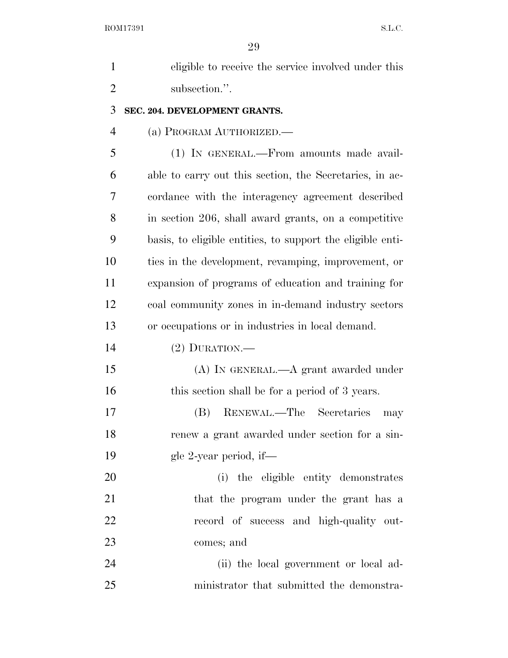| $\mathbf{1}$   | eligible to receive the service involved under this        |
|----------------|------------------------------------------------------------|
| $\overline{2}$ | subsection.".                                              |
| 3              | SEC. 204. DEVELOPMENT GRANTS.                              |
| 4              | (a) PROGRAM AUTHORIZED.                                    |
| 5              | (1) IN GENERAL.—From amounts made avail-                   |
| 6              | able to carry out this section, the Secretaries, in ac-    |
| 7              | cordance with the interagency agreement described          |
| 8              | in section 206, shall award grants, on a competitive       |
| 9              | basis, to eligible entities, to support the eligible enti- |
| 10             | ties in the development, revamping, improvement, or        |
| 11             | expansion of programs of education and training for        |
| 12             | coal community zones in in-demand industry sectors         |
| 13             | or occupations or in industries in local demand.           |
| 14             | $(2)$ DURATION.—                                           |
| 15             | (A) IN GENERAL.—A grant awarded under                      |
| 16             | this section shall be for a period of 3 years.             |
| 17             | RENEWAL.—The Secretaries<br>(B)<br>may                     |
| 18             | renew a grant awarded under section for a sin-             |
| 19             | gle 2-year period, if—                                     |
| 20             | (i) the eligible entity demonstrates                       |
| 21             | that the program under the grant has a                     |
| 22             | record of success and high-quality out-                    |
| 23             | comes; and                                                 |
| 24             | (ii) the local government or local ad-                     |
| 25             | ministrator that submitted the demonstra-                  |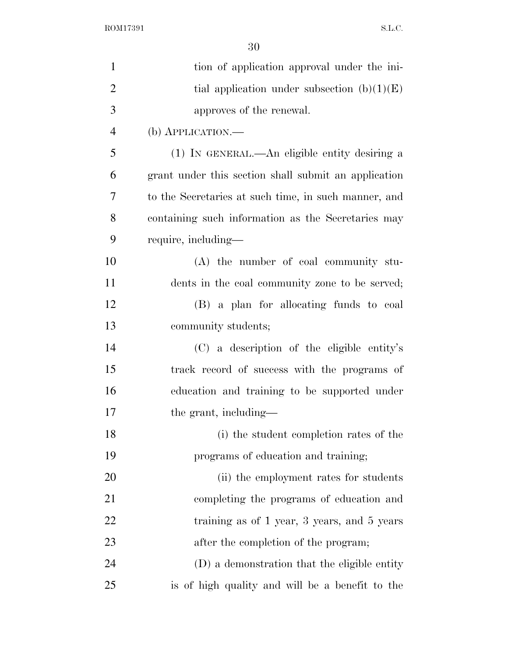$\begin{minipage}{.4\linewidth} \textbf{ROM17391} \end{minipage}$ 

| $\mathbf{1}$   | tion of application approval under the ini-          |
|----------------|------------------------------------------------------|
| $\overline{2}$ | tial application under subsection $(b)(1)(E)$        |
| 3              | approves of the renewal.                             |
| $\overline{4}$ | $(b)$ APPLICATION.—                                  |
| 5              | (1) IN GENERAL.—An eligible entity desiring a        |
| 6              | grant under this section shall submit an application |
| 7              | to the Secretaries at such time, in such manner, and |
| 8              | containing such information as the Secretaries may   |
| 9              | require, including—                                  |
| 10             | $(A)$ the number of coal community stu-              |
| 11             | dents in the coal community zone to be served;       |
| 12             | (B) a plan for allocating funds to coal              |
| 13             | community students;                                  |
| 14             | (C) a description of the eligible entity's           |
| 15             | track record of success with the programs of         |
| 16             | education and training to be supported under         |
| 17             | the grant, including—                                |
| 18             | (i) the student completion rates of the              |
| 19             | programs of education and training;                  |
| 20             | (ii) the employment rates for students               |
| 21             | completing the programs of education and             |
| 22             | training as of 1 year, 3 years, and 5 years          |
| 23             | after the completion of the program;                 |
| 24             | (D) a demonstration that the eligible entity         |
| 25             | is of high quality and will be a benefit to the      |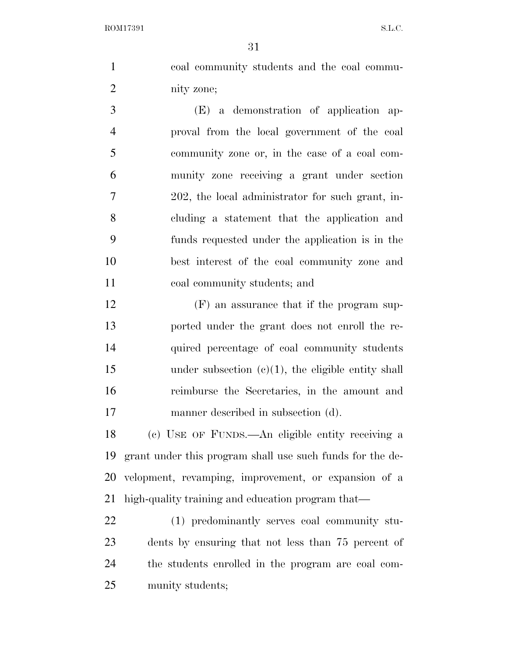ROM17391 S.L.C.

 coal community students and the coal commu- nity zone; (E) a demonstration of application ap- proval from the local government of the coal community zone or, in the case of a coal com-

 munity zone receiving a grant under section 202, the local administrator for such grant, in- cluding a statement that the application and funds requested under the application is in the best interest of the coal community zone and coal community students; and

 (F) an assurance that if the program sup- ported under the grant does not enroll the re- quired percentage of coal community students 15 under subsection (c)(1), the eligible entity shall reimburse the Secretaries, in the amount and manner described in subsection (d).

 (c) USE OF FUNDS.—An eligible entity receiving a grant under this program shall use such funds for the de- velopment, revamping, improvement, or expansion of a high-quality training and education program that—

 (1) predominantly serves coal community stu- dents by ensuring that not less than 75 percent of the students enrolled in the program are coal com-munity students;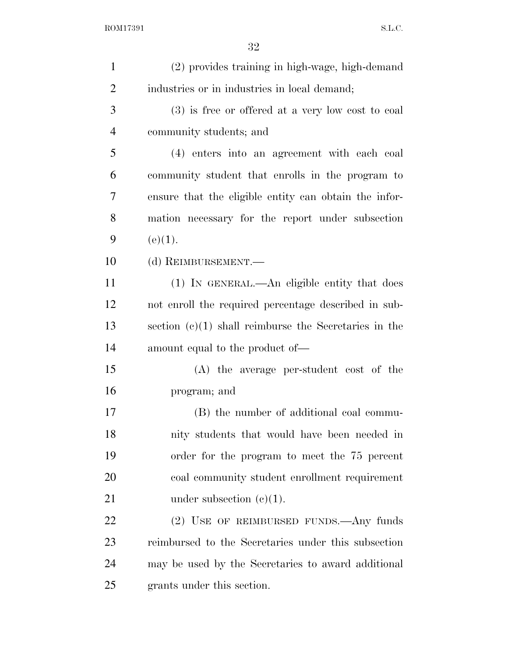| $\mathbf{1}$   | (2) provides training in high-wage, high-demand         |
|----------------|---------------------------------------------------------|
| $\overline{2}$ | industries or in industries in local demand;            |
| 3              | (3) is free or offered at a very low cost to coal       |
| 4              | community students; and                                 |
| 5              | (4) enters into an agreement with each coal             |
| 6              | community student that enrolls in the program to        |
| 7              | ensure that the eligible entity can obtain the infor-   |
| 8              | mation necessary for the report under subsection        |
| 9              | (e)(1).                                                 |
| 10             | (d) REIMBURSEMENT.                                      |
| 11             | (1) In GENERAL.—An eligible entity that does            |
| 12             | not enroll the required percentage described in sub-    |
| 13             | section $(c)(1)$ shall reimburse the Secretaries in the |
| 14             | amount equal to the product of—                         |
| 15             | (A) the average per-student cost of the                 |
| 16             | program; and                                            |
| 17             | (B) the number of additional coal commu-                |
| 18             | nity students that would have been needed in            |
| 19             | order for the program to meet the 75 percent            |
| 20             | coal community student enrollment requirement           |
| 21             | under subsection $(e)(1)$ .                             |
| 22             | (2) USE OF REIMBURSED FUNDS. Any funds                  |
| 23             | reimbursed to the Secretaries under this subsection     |
| 24             | may be used by the Secretaries to award additional      |
| 25             | grants under this section.                              |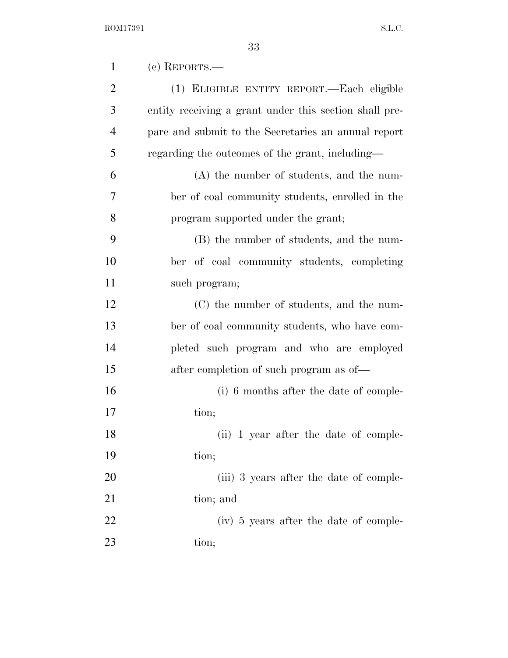| $\mathbf{1}$   | (e) REPORTS.—                                          |
|----------------|--------------------------------------------------------|
| $\overline{2}$ | (1) ELIGIBLE ENTITY REPORT.—Each eligible              |
| 3              | entity receiving a grant under this section shall pre- |
| $\overline{4}$ | pare and submit to the Secretaries an annual report    |
| 5              | regarding the outcomes of the grant, including—        |
| 6              | (A) the number of students, and the num-               |
| 7              | ber of coal community students, enrolled in the        |
| 8              | program supported under the grant;                     |
| 9              | (B) the number of students, and the num-               |
| 10             | ber of coal community students, completing             |
| 11             | such program;                                          |
| 12             | (C) the number of students, and the num-               |
| 13             | ber of coal community students, who have com-          |
| 14             | pleted such program and who are employed               |
| 15             | after completion of such program as of—                |
| 16             | (i) 6 months after the date of comple-                 |
| 17             | tion;                                                  |
| 18             | (ii) 1 year after the date of comple-                  |
| 19             | tion;                                                  |
| 20             | (iii) 3 years after the date of comple-                |
| 21             | tion; and                                              |
| 22             | (iv) 5 years after the date of comple-                 |
| 23             | tion;                                                  |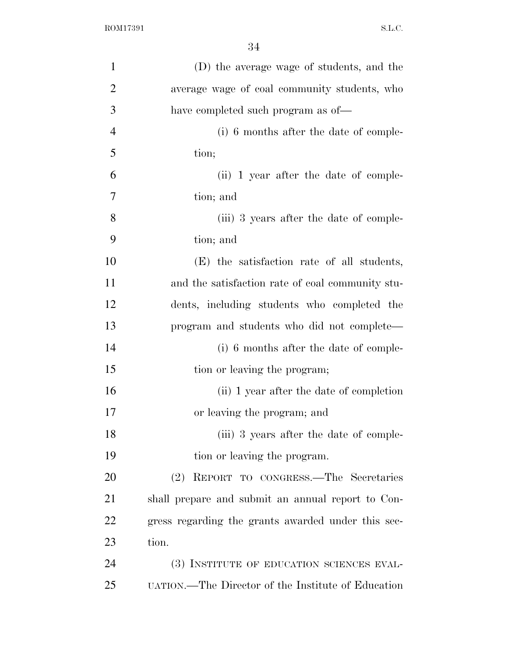| $\mathbf{1}$   | (D) the average wage of students, and the          |
|----------------|----------------------------------------------------|
| $\overline{2}$ | average wage of coal community students, who       |
| 3              | have completed such program as of—                 |
| $\overline{4}$ | (i) 6 months after the date of comple-             |
| 5              | tion;                                              |
| 6              | (ii) 1 year after the date of comple-              |
| 7              | tion; and                                          |
| 8              | (iii) 3 years after the date of comple-            |
| 9              | tion; and                                          |
| 10             | (E) the satisfaction rate of all students,         |
| 11             | and the satisfaction rate of coal community stu-   |
| 12             | dents, including students who completed the        |
| 13             | program and students who did not complete—         |
| 14             | (i) 6 months after the date of comple-             |
| 15             | tion or leaving the program;                       |
| 16             | (ii) 1 year after the date of completion           |
| 17             | or leaving the program; and                        |
| 18             | (iii) 3 years after the date of comple-            |
| 19             | tion or leaving the program.                       |
| 20             | REPORT TO CONGRESS.—The Secretaries<br>(2)         |
| 21             | shall prepare and submit an annual report to Con-  |
| 22             | gress regarding the grants awarded under this sec- |
| 23             | tion.                                              |
| 24             | (3) INSTITUTE OF EDUCATION SCIENCES EVAL-          |
| 25             | UATION.—The Director of the Institute of Education |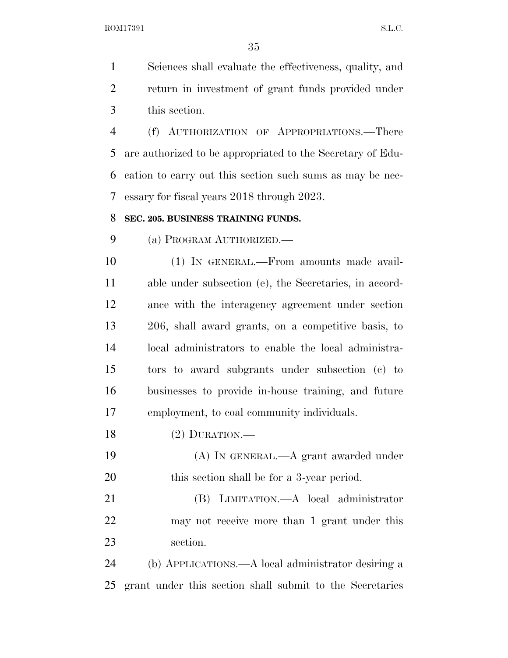ROM17391 S.L.C.

 Sciences shall evaluate the effectiveness, quality, and return in investment of grant funds provided under this section.

 (f) AUTHORIZATION OF APPROPRIATIONS.—There are authorized to be appropriated to the Secretary of Edu- cation to carry out this section such sums as may be nec-essary for fiscal years 2018 through 2023.

#### **SEC. 205. BUSINESS TRAINING FUNDS.**

(a) PROGRAM AUTHORIZED.—

 (1) IN GENERAL.—From amounts made avail- able under subsection (e), the Secretaries, in accord- ance with the interagency agreement under section 206, shall award grants, on a competitive basis, to local administrators to enable the local administra- tors to award subgrants under subsection (c) to businesses to provide in-house training, and future employment, to coal community individuals.

- (2) DURATION.—
- (A) IN GENERAL.—A grant awarded under 20 this section shall be for a 3-year period.
- (B) LIMITATION.—A local administrator may not receive more than 1 grant under this section.

 (b) APPLICATIONS.—A local administrator desiring a grant under this section shall submit to the Secretaries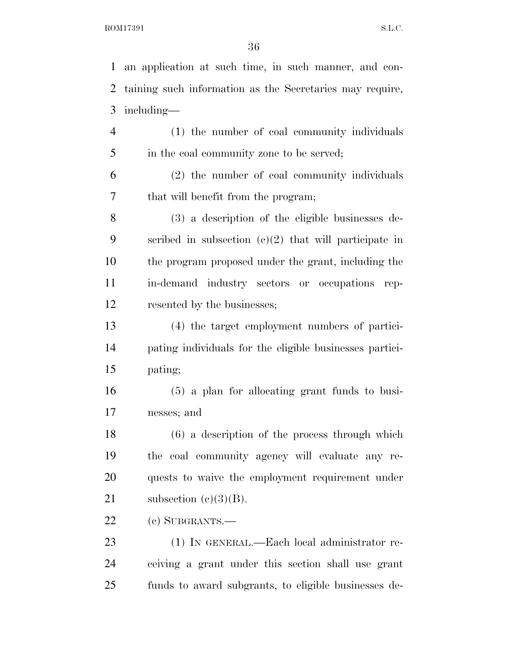an application at such time, in such manner, and con- taining such information as the Secretaries may require, including— (1) the number of coal community individuals 5 in the coal community zone to be served; (2) the number of coal community individuals that will benefit from the program; (3) a description of the eligible businesses de- scribed in subsection (c)(2) that will participate in the program proposed under the grant, including the in-demand industry sectors or occupations rep- resented by the businesses; (4) the target employment numbers of partici- pating individuals for the eligible businesses partici- pating; (5) a plan for allocating grant funds to busi- nesses; and (6) a description of the process through which the coal community agency will evaluate any re- quests to waive the employment requirement under 21 subsection  $(e)(3)(B)$ . (c) SUBGRANTS.— (1) IN GENERAL.—Each local administrator re-

 ceiving a grant under this section shall use grant funds to award subgrants, to eligible businesses de-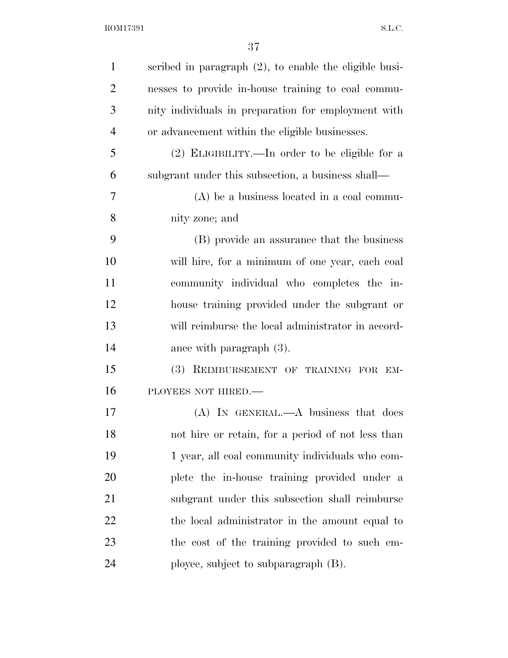| $\mathbf{1}$   | scribed in paragraph $(2)$ , to enable the eligible busi- |
|----------------|-----------------------------------------------------------|
| $\overline{2}$ | nesses to provide in-house training to coal commu-        |
| 3              | nity individuals in preparation for employment with       |
| $\overline{4}$ | or advancement within the eligible businesses.            |
| 5              | (2) ELIGIBILITY.—In order to be eligible for a            |
| 6              | subgrant under this subsection, a business shall—         |
| 7              | $(A)$ be a business located in a coal commu-              |
| 8              | nity zone; and                                            |
| 9              | (B) provide an assurance that the business                |
| 10             | will hire, for a minimum of one year, each coal           |
| 11             | community individual who completes the in-                |
| 12             | house training provided under the subgrant or             |
| 13             | will reimburse the local administrator in accord-         |
| 14             | ance with paragraph $(3)$ .                               |
| 15             | (3) REIMBURSEMENT OF TRAINING FOR EM-                     |
| 16             | PLOYEES NOT HIRED.                                        |
| 17             | $(A)$ In GENERAL.— $A$ business that does                 |
| 18             | not hire or retain, for a period of not less than         |
| 19             | 1 year, all coal community individuals who com-           |
| 20             | plete the in-house training provided under a              |
| 21             | subgrant under this subsection shall reimburse            |
| 22             | the local administrator in the amount equal to            |
| 23             | the cost of the training provided to such em-             |
| 24             | ployee, subject to subparagraph (B).                      |
|                |                                                           |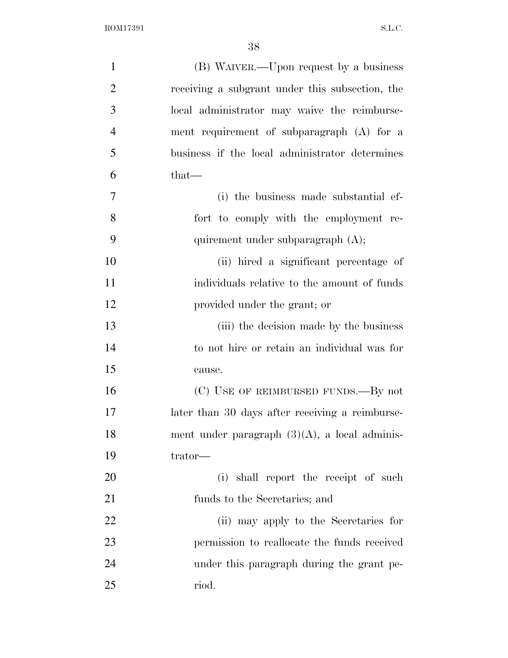| $\mathbf{1}$   | (B) WAIVER.—Upon request by a business           |
|----------------|--------------------------------------------------|
| $\overline{2}$ | receiving a subgrant under this subsection, the  |
| 3              | local administrator may waive the reimburse-     |
| $\overline{4}$ | ment requirement of subparagraph $(A)$ for a     |
| 5              | business if the local administrator determines   |
| 6              | $that$ —                                         |
| $\overline{7}$ | (i) the business made substantial ef-            |
| 8              | fort to comply with the employment re-           |
| 9              | quirement under subparagraph (A);                |
| 10             | (ii) hired a significant percentage of           |
| 11             | individuals relative to the amount of funds      |
| 12             | provided under the grant; or                     |
| 13             | (iii) the decision made by the business          |
| 14             | to not hire or retain an individual was for      |
| 15             | cause.                                           |
| 16             | (C) USE OF REIMBURSED FUNDS.—By not              |
| 17             | later than 30 days after receiving a reimburse-  |
| 18             | ment under paragraph $(3)(A)$ , a local adminis- |
| 19             | trator—                                          |
| 20             | (i) shall report the receipt of such             |
| 21             | funds to the Secretaries; and                    |
| 22             | (ii) may apply to the Secretaries for            |
| 23             | permission to reallocate the funds received      |
| 24             | under this paragraph during the grant pe-        |
| 25             | riod.                                            |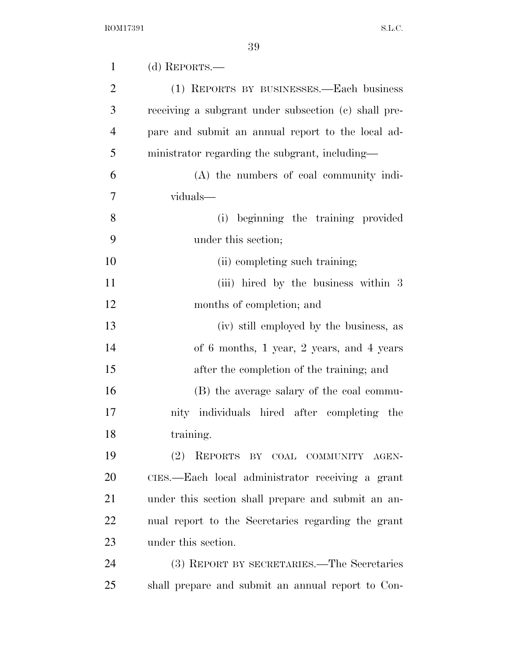| $\mathbf{1}$   | (d) REPORTS.—                                        |
|----------------|------------------------------------------------------|
| $\overline{2}$ | (1) REPORTS BY BUSINESSES.—Each business             |
| 3              | receiving a subgrant under subsection (c) shall pre- |
| $\overline{4}$ | pare and submit an annual report to the local ad-    |
| 5              | ministrator regarding the subgrant, including—       |
| 6              | (A) the numbers of coal community indi-              |
| 7              | viduals—                                             |
| 8              | (i) beginning the training provided                  |
| 9              | under this section;                                  |
| 10             | (ii) completing such training;                       |
| 11             | (iii) hired by the business within 3                 |
| 12             | months of completion; and                            |
| 13             | (iv) still employed by the business, as              |
| 14             | of 6 months, 1 year, 2 years, and 4 years            |
| 15             | after the completion of the training; and            |
| 16             | (B) the average salary of the coal commu-            |
| 17             | nity individuals hired after completing the          |
| 18             | training.                                            |
| 19             | (2)<br>REPORTS BY COAL COMMUNITY AGEN-               |
| 20             | CIES.—Each local administrator receiving a grant     |
| 21             | under this section shall prepare and submit an an-   |
| 22             | nual report to the Secretaries regarding the grant   |
| 23             | under this section.                                  |
| 24             | (3) REPORT BY SECRETARIES.—The Secretaries           |
| 25             | shall prepare and submit an annual report to Con-    |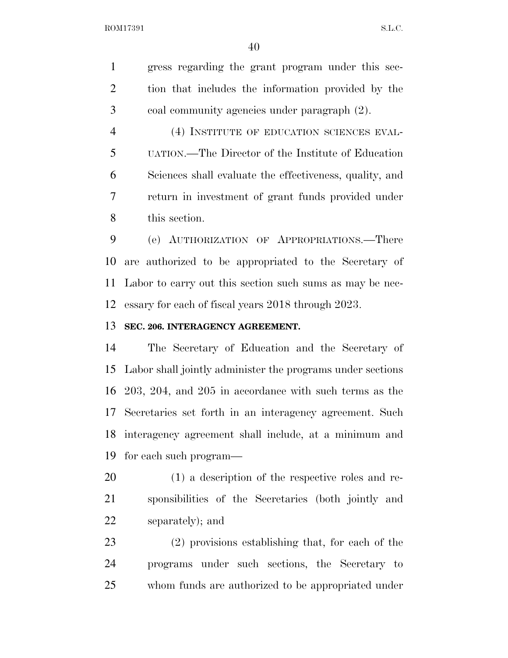ROM17391 S.L.C.

 gress regarding the grant program under this sec- tion that includes the information provided by the coal community agencies under paragraph (2).

 (4) INSTITUTE OF EDUCATION SCIENCES EVAL- UATION.—The Director of the Institute of Education Sciences shall evaluate the effectiveness, quality, and return in investment of grant funds provided under this section.

 (e) AUTHORIZATION OF APPROPRIATIONS.—There are authorized to be appropriated to the Secretary of Labor to carry out this section such sums as may be nec-essary for each of fiscal years 2018 through 2023.

#### **SEC. 206. INTERAGENCY AGREEMENT.**

 The Secretary of Education and the Secretary of Labor shall jointly administer the programs under sections 203, 204, and 205 in accordance with such terms as the Secretaries set forth in an interagency agreement. Such interagency agreement shall include, at a minimum and for each such program—

 (1) a description of the respective roles and re- sponsibilities of the Secretaries (both jointly and separately); and

 (2) provisions establishing that, for each of the programs under such sections, the Secretary to whom funds are authorized to be appropriated under